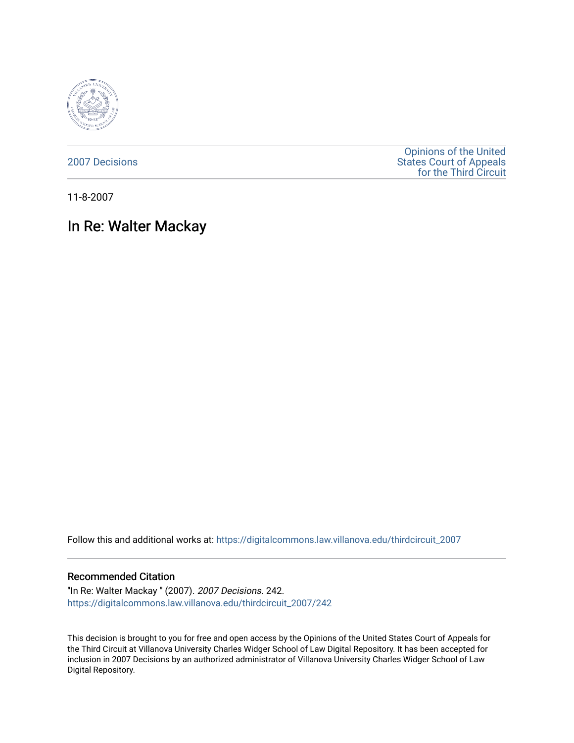

[2007 Decisions](https://digitalcommons.law.villanova.edu/thirdcircuit_2007)

[Opinions of the United](https://digitalcommons.law.villanova.edu/thirdcircuit)  [States Court of Appeals](https://digitalcommons.law.villanova.edu/thirdcircuit)  [for the Third Circuit](https://digitalcommons.law.villanova.edu/thirdcircuit) 

11-8-2007

# In Re: Walter Mackay

Follow this and additional works at: [https://digitalcommons.law.villanova.edu/thirdcircuit\\_2007](https://digitalcommons.law.villanova.edu/thirdcircuit_2007?utm_source=digitalcommons.law.villanova.edu%2Fthirdcircuit_2007%2F242&utm_medium=PDF&utm_campaign=PDFCoverPages) 

#### Recommended Citation

"In Re: Walter Mackay " (2007). 2007 Decisions. 242. [https://digitalcommons.law.villanova.edu/thirdcircuit\\_2007/242](https://digitalcommons.law.villanova.edu/thirdcircuit_2007/242?utm_source=digitalcommons.law.villanova.edu%2Fthirdcircuit_2007%2F242&utm_medium=PDF&utm_campaign=PDFCoverPages)

This decision is brought to you for free and open access by the Opinions of the United States Court of Appeals for the Third Circuit at Villanova University Charles Widger School of Law Digital Repository. It has been accepted for inclusion in 2007 Decisions by an authorized administrator of Villanova University Charles Widger School of Law Digital Repository.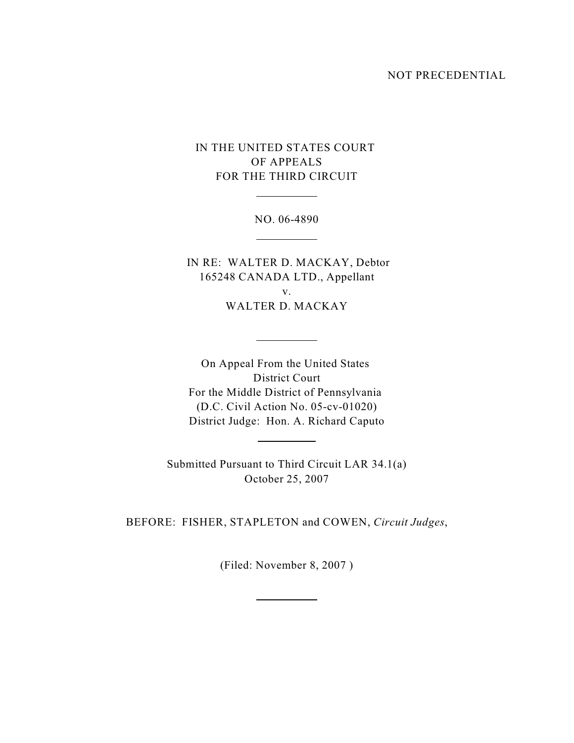#### NOT PRECEDENTIAL

## IN THE UNITED STATES COURT OF APPEALS FOR THE THIRD CIRCUIT

 $\overline{a}$ 

 $\overline{a}$ 

 $\overline{a}$ 

 $\overline{a}$ 

 $\overline{a}$ 

NO. 06-4890

 IN RE: WALTER D. MACKAY, Debtor 165248 CANADA LTD., Appellant v. WALTER D. MACKAY

On Appeal From the United States District Court For the Middle District of Pennsylvania (D.C. Civil Action No. 05-cv-01020) District Judge: Hon. A. Richard Caputo

Submitted Pursuant to Third Circuit LAR 34.1(a) October 25, 2007

BEFORE: FISHER, STAPLETON and COWEN, *Circuit Judges*,

(Filed: November 8, 2007 )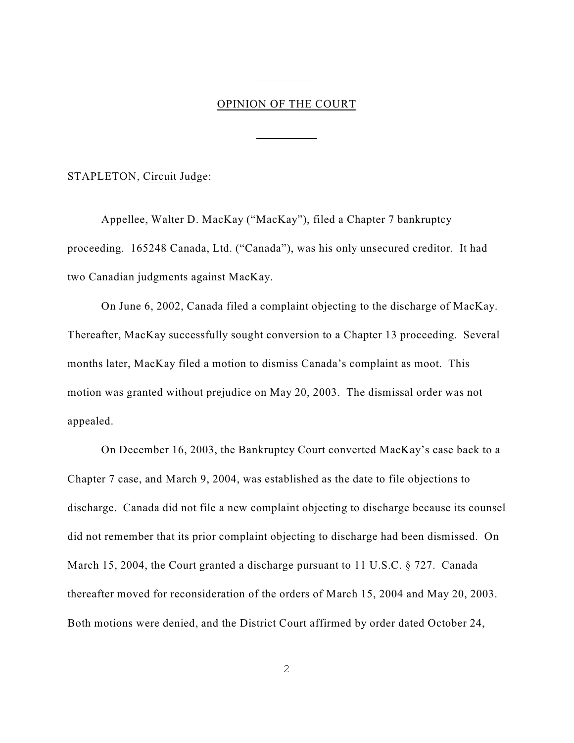### OPINION OF THE COURT

 $\overline{a}$ 

 $\overline{a}$ 

STAPLETON, Circuit Judge:

Appellee, Walter D. MacKay ("MacKay"), filed a Chapter 7 bankruptcy proceeding. 165248 Canada, Ltd. ("Canada"), was his only unsecured creditor. It had two Canadian judgments against MacKay.

On June 6, 2002, Canada filed a complaint objecting to the discharge of MacKay. Thereafter, MacKay successfully sought conversion to a Chapter 13 proceeding. Several months later, MacKay filed a motion to dismiss Canada's complaint as moot. This motion was granted without prejudice on May 20, 2003. The dismissal order was not appealed.

On December 16, 2003, the Bankruptcy Court converted MacKay's case back to a Chapter 7 case, and March 9, 2004, was established as the date to file objections to discharge. Canada did not file a new complaint objecting to discharge because its counsel did not remember that its prior complaint objecting to discharge had been dismissed. On March 15, 2004, the Court granted a discharge pursuant to 11 U.S.C. § 727. Canada thereafter moved for reconsideration of the orders of March 15, 2004 and May 20, 2003. Both motions were denied, and the District Court affirmed by order dated October 24,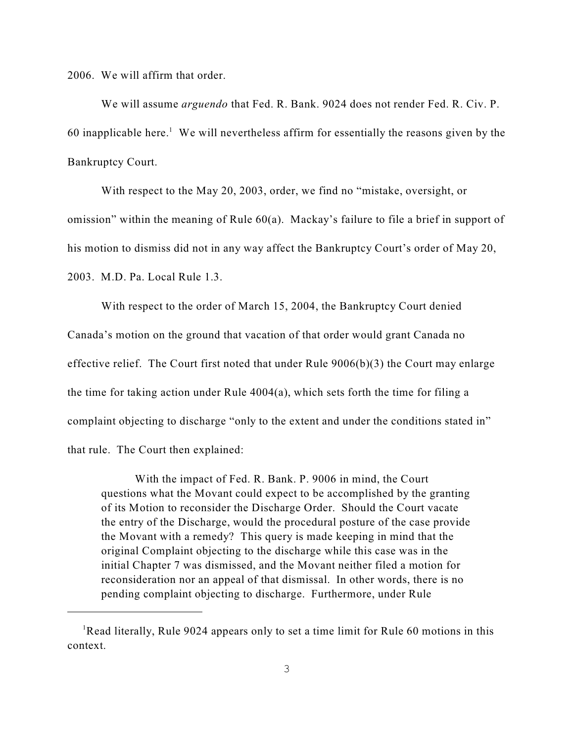2006. We will affirm that order.

We will assume *arguendo* that Fed. R. Bank. 9024 does not render Fed. R. Civ. P. 60 inapplicable here.<sup>1</sup> We will nevertheless affirm for essentially the reasons given by the Bankruptcy Court.

With respect to the May 20, 2003, order, we find no "mistake, oversight, or omission" within the meaning of Rule 60(a). Mackay's failure to file a brief in support of his motion to dismiss did not in any way affect the Bankruptcy Court's order of May 20, 2003. M.D. Pa. Local Rule 1.3.

With respect to the order of March 15, 2004, the Bankruptcy Court denied Canada's motion on the ground that vacation of that order would grant Canada no effective relief. The Court first noted that under Rule 9006(b)(3) the Court may enlarge the time for taking action under Rule 4004(a), which sets forth the time for filing a complaint objecting to discharge "only to the extent and under the conditions stated in" that rule. The Court then explained:

With the impact of Fed. R. Bank. P. 9006 in mind, the Court questions what the Movant could expect to be accomplished by the granting of its Motion to reconsider the Discharge Order. Should the Court vacate the entry of the Discharge, would the procedural posture of the case provide the Movant with a remedy? This query is made keeping in mind that the original Complaint objecting to the discharge while this case was in the initial Chapter 7 was dismissed, and the Movant neither filed a motion for reconsideration nor an appeal of that dismissal. In other words, there is no pending complaint objecting to discharge. Furthermore, under Rule

<sup>&</sup>lt;sup>1</sup>Read literally, Rule 9024 appears only to set a time limit for Rule 60 motions in this context.